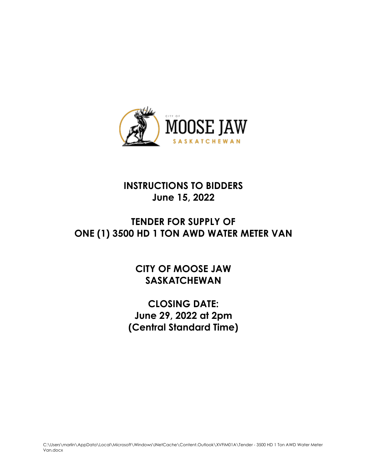

# **INSTRUCTIONS TO BIDDERS June 15, 2022**

# **TENDER FOR SUPPLY OF ONE (1) 3500 HD 1 TON AWD WATER METER VAN**

**CITY OF MOOSE JAW SASKATCHEWAN**

**CLOSING DATE: June 29, 2022 at 2pm (Central Standard Time)**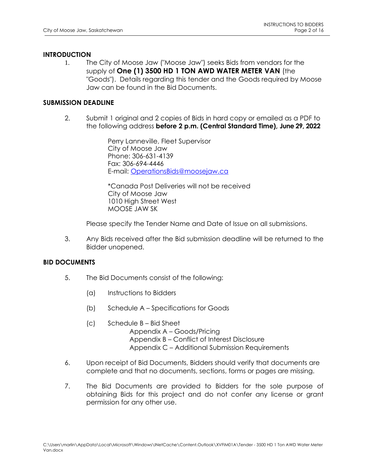### **INTRODUCTION**

1. The City of Moose Jaw ("Moose Jaw") seeks Bids from vendors for the supply of **One (1) 3500 HD 1 TON AWD WATER METER VAN** (the "Goods"). Details regarding this tender and the Goods required by Moose Jaw can be found in the Bid Documents.

### **SUBMISSION DEADLINE**

2. Submit 1 original and 2 copies of Bids in hard copy or emailed as a PDF to the following address **before 2 p.m. (Central Standard Time), June 29, 2022**

> Perry Lanneville, Fleet Supervisor City of Moose Jaw Phone: 306-631-4139 Fax: 306-694-4446 E-mail: [OperationsBids@moosejaw.ca](mailto:OperationsBids@moosejaw.ca)

\*Canada Post Deliveries will not be received City of Moose Jaw 1010 High Street West MOOSE JAW SK

Please specify the Tender Name and Date of Issue on all submissions.

3. Any Bids received after the Bid submission deadline will be returned to the Bidder unopened.

#### **BID DOCUMENTS**

- 5. The Bid Documents consist of the following:
	- (a) Instructions to Bidders
	- (b) Schedule A Specifications for Goods
	- (c) Schedule B Bid Sheet Appendix A – Goods/Pricing Appendix B – Conflict of Interest Disclosure Appendix C – Additional Submission Requirements
- 6. Upon receipt of Bid Documents, Bidders should verify that documents are complete and that no documents, sections, forms or pages are missing.
- 7. The Bid Documents are provided to Bidders for the sole purpose of obtaining Bids for this project and do not confer any license or grant permission for any other use.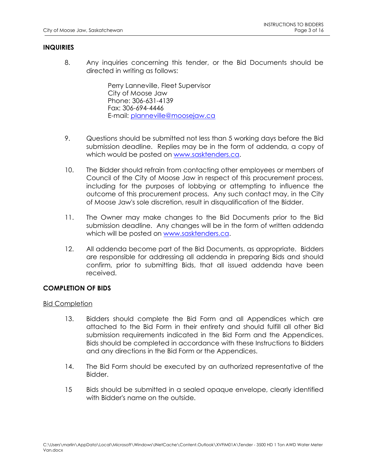### **INQUIRIES**

8. Any inquiries concerning this tender, or the Bid Documents should be directed in writing as follows:

> Perry Lanneville, Fleet Supervisor City of Moose Jaw Phone: 306-631-4139 Fax: 306-694-4446 E-mail: [planneville@moosejaw.ca](mailto:planneville@moosejaw.ca)

- 9. Questions should be submitted not less than 5 working days before the Bid submission deadline. Replies may be in the form of addenda, a copy of which would be posted on [www.sasktenders.ca.](http://www.sasktenders.ca/)
- 10. The Bidder should refrain from contacting other employees or members of Council of the City of Moose Jaw in respect of this procurement process, including for the purposes of lobbying or attempting to influence the outcome of this procurement process. Any such contact may, in the City of Moose Jaw's sole discretion, result in disqualification of the Bidder.
- 11. The Owner may make changes to the Bid Documents prior to the Bid submission deadline. Any changes will be in the form of written addenda which will be posted on [www.sasktenders.ca.](http://www.sasktenders.ca/)
- 12. All addenda become part of the Bid Documents, as appropriate. Bidders are responsible for addressing all addenda in preparing Bids and should confirm, prior to submitting Bids, that all issued addenda have been received.

## **COMPLETION OF BIDS**

### Bid Completion

- 13. Bidders should complete the Bid Form and all Appendices which are attached to the Bid Form in their entirety and should fulfill all other Bid submission requirements indicated in the Bid Form and the Appendices. Bids should be completed in accordance with these Instructions to Bidders and any directions in the Bid Form or the Appendices.
- 14. The Bid Form should be executed by an authorized representative of the Bidder.
- 15 Bids should be submitted in a sealed opaque envelope, clearly identified with Bidder's name on the outside.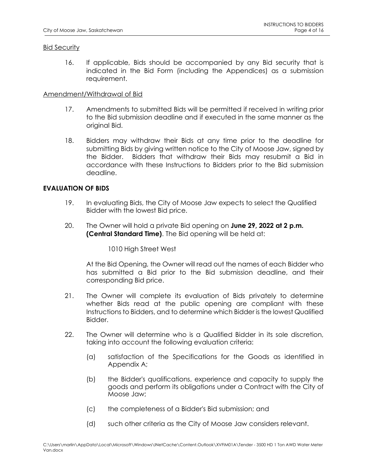### Bid Security

16. If applicable, Bids should be accompanied by any Bid security that is indicated in the Bid Form (including the Appendices) as a submission requirement.

### Amendment/Withdrawal of Bid

- 17. Amendments to submitted Bids will be permitted if received in writing prior to the Bid submission deadline and if executed in the same manner as the original Bid.
- 18. Bidders may withdraw their Bids at any time prior to the deadline for submitting Bids by giving written notice to the City of Moose Jaw, signed by the Bidder. Bidders that withdraw their Bids may resubmit a Bid in accordance with these Instructions to Bidders prior to the Bid submission deadline.

### **EVALUATION OF BIDS**

- 19. In evaluating Bids, the City of Moose Jaw expects to select the Qualified Bidder with the lowest Bid price.
- 20. The Owner will hold a private Bid opening on **June 29, 2022 at 2 p.m. (Central Standard Time)**. The Bid opening will be held at:

1010 High Street West

At the Bid Opening, the Owner will read out the names of each Bidder who has submitted a Bid prior to the Bid submission deadline, and their corresponding Bid price.

- 21. The Owner will complete its evaluation of Bids privately to determine whether Bids read at the public opening are compliant with these Instructions to Bidders, and to determine which Bidder is the lowest Qualified Bidder.
- 22. The Owner will determine who is a Qualified Bidder in its sole discretion, taking into account the following evaluation criteria:
	- (a) satisfaction of the Specifications for the Goods as identified in Appendix A;
	- (b) the Bidder's qualifications, experience and capacity to supply the goods and perform its obligations under a Contract with the City of Moose Jaw;
	- (c) the completeness of a Bidder's Bid submission; and
	- (d) such other criteria as the City of Moose Jaw considers relevant.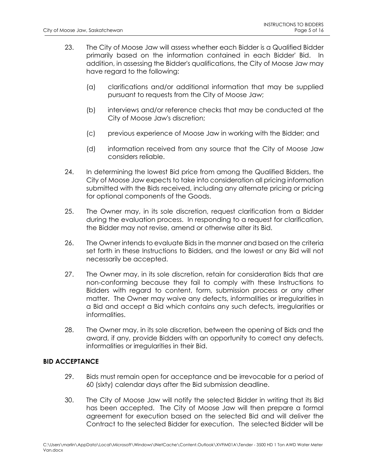- 23. The City of Moose Jaw will assess whether each Bidder is a Qualified Bidder primarily based on the information contained in each Bidder' Bid. In addition, in assessing the Bidder's qualifications, the City of Moose Jaw may have regard to the following:
	- (a) clarifications and/or additional information that may be supplied pursuant to requests from the City of Moose Jaw;
	- (b) interviews and/or reference checks that may be conducted at the City of Moose Jaw's discretion;
	- (c) previous experience of Moose Jaw in working with the Bidder; and
	- (d) information received from any source that the City of Moose Jaw considers reliable.
- 24. In determining the lowest Bid price from among the Qualified Bidders, the City of Moose Jaw expects to take into consideration all pricing information submitted with the Bids received, including any alternate pricing or pricing for optional components of the Goods.
- 25. The Owner may, in its sole discretion, request clarification from a Bidder during the evaluation process. In responding to a request for clarification, the Bidder may not revise, amend or otherwise alter its Bid.
- 26. The Owner intends to evaluate Bids in the manner and based on the criteria set forth in these Instructions to Bidders, and the lowest or any Bid will not necessarily be accepted.
- 27. The Owner may, in its sole discretion, retain for consideration Bids that are non-conforming because they fail to comply with these Instructions to Bidders with regard to content, form, submission process or any other matter. The Owner may waive any defects, informalities or irregularities in a Bid and accept a Bid which contains any such defects, irregularities or informalities.
- 28. The Owner may, in its sole discretion, between the opening of Bids and the award, if any, provide Bidders with an opportunity to correct any defects, informalities or irregularities in their Bid.

### **BID ACCEPTANCE**

- 29. Bids must remain open for acceptance and be irrevocable for a period of 60 (sixty) calendar days after the Bid submission deadline.
- 30. The City of Moose Jaw will notify the selected Bidder in writing that its Bid has been accepted. The City of Moose Jaw will then prepare a formal agreement for execution based on the selected Bid and will deliver the Contract to the selected Bidder for execution. The selected Bidder will be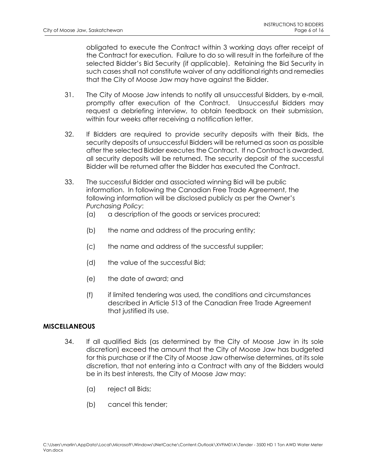obligated to execute the Contract within 3 working days after receipt of the Contract for execution. Failure to do so will result in the forfeiture of the selected Bidder's Bid Security (if applicable). Retaining the Bid Security in such cases shall not constitute waiver of any additional rights and remedies that the City of Moose Jaw may have against the Bidder.

- 31. The City of Moose Jaw intends to notify all unsuccessful Bidders, by e-mail, promptly after execution of the Contract. Unsuccessful Bidders may request a debriefing interview, to obtain feedback on their submission, within four weeks after receiving a notification letter.
- 32. If Bidders are required to provide security deposits with their Bids, the security deposits of unsuccessful Bidders will be returned as soon as possible after the selected Bidder executes the Contract. If no Contract is awarded, all security deposits will be returned. The security deposit of the successful Bidder will be returned after the Bidder has executed the Contract.
- 33. The successful Bidder and associated winning Bid will be public information. In following the Canadian Free Trade Agreement, the following information will be disclosed publicly as per the Owner's *Purchasing Policy*:
	- (a) a description of the goods or services procured;
	- (b) the name and address of the procuring entity;
	- (c) the name and address of the successful supplier;
	- (d) the value of the successful Bid;
	- (e) the date of award; and
	- (f) if limited tendering was used, the conditions and circumstances described in Article 513 of the Canadian Free Trade Agreement that justified its use.

### **MISCELLANEOUS**

- 34. If all qualified Bids (as determined by the City of Moose Jaw in its sole discretion) exceed the amount that the City of Moose Jaw has budgeted for this purchase or if the City of Moose Jaw otherwise determines, at its sole discretion, that not entering into a Contract with any of the Bidders would be in its best interests, the City of Moose Jaw may:
	- (a) reject all Bids;
	- (b) cancel this tender;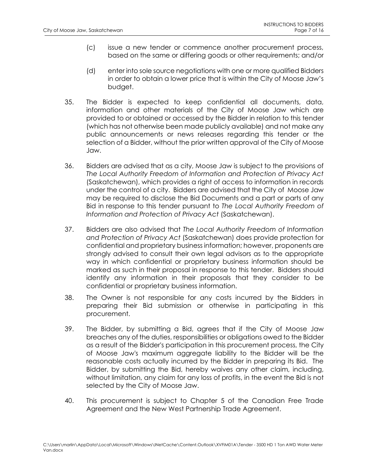- (c) issue a new tender or commence another procurement process, based on the same or differing goods or other requirements; and/or
- (d) enter into sole source negotiations with one or more qualified Bidders in order to obtain a lower price that is within the City of Moose Jaw's budget.
- 35. The Bidder is expected to keep confidential all documents, data, information and other materials of the City of Moose Jaw which are provided to or obtained or accessed by the Bidder in relation to this tender (which has not otherwise been made publicly available) and not make any public announcements or news releases regarding this tender or the selection of a Bidder, without the prior written approval of the City of Moose Jaw.
- 36. Bidders are advised that as a city, Moose Jaw is subject to the provisions of *The Local Authority Freedom of Information and Protection of Privacy Act* (Saskatchewan), which provides a right of access to information in records under the control of a city. Bidders are advised that the City of Moose Jaw may be required to disclose the Bid Documents and a part or parts of any Bid in response to this tender pursuant to *The Local Authority Freedom of Information and Protection of Privacy Act* (Saskatchewan).
- 37. Bidders are also advised that *The Local Authority Freedom of Information and Protection of Privacy Act* (Saskatchewan) does provide protection for confidential and proprietary business information; however, proponents are strongly advised to consult their own legal advisors as to the appropriate way in which confidential or proprietary business information should be marked as such in their proposal in response to this tender. Bidders should identify any information in their proposals that they consider to be confidential or proprietary business information.
- 38. The Owner is not responsible for any costs incurred by the Bidders in preparing their Bid submission or otherwise in participating in this procurement.
- 39. The Bidder, by submitting a Bid, agrees that if the City of Moose Jaw breaches any of the duties, responsibilities or obligations owed to the Bidder as a result of the Bidder's participation in this procurement process, the City of Moose Jaw's maximum aggregate liability to the Bidder will be the reasonable costs actually incurred by the Bidder in preparing its Bid. The Bidder, by submitting the Bid, hereby waives any other claim, including, without limitation, any claim for any loss of profits, in the event the Bid is not selected by the City of Moose Jaw.
- 40. This procurement is subject to Chapter 5 of the Canadian Free Trade Agreement and the New West Partnership Trade Agreement.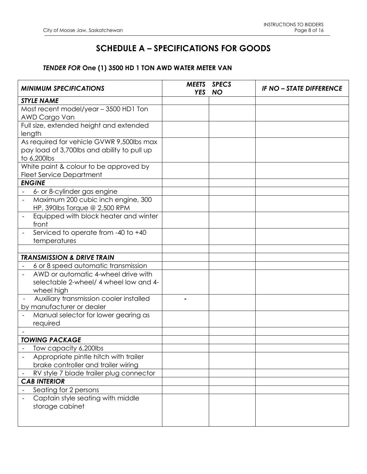## **SCHEDULE A – SPECIFICATIONS FOR GOODS**

## *TENDER FOR* **One (1) 3500 HD 1 TON AWD WATER METER VAN**

| <b>MINIMUM SPECIFICATIONS</b>                                        | <b>MEETS</b><br><b>YES</b> | <b>SPECS</b><br><b>NO</b> | <b>IF NO - STATE DIFFERENCE</b> |
|----------------------------------------------------------------------|----------------------------|---------------------------|---------------------------------|
| <b>STYLE NAME</b>                                                    |                            |                           |                                 |
| Most recent model/year - 3500 HD1 Ton                                |                            |                           |                                 |
| AWD Cargo Van                                                        |                            |                           |                                 |
| Full size, extended height and extended                              |                            |                           |                                 |
| length                                                               |                            |                           |                                 |
| As required for vehicle GVWR 9,500lbs max                            |                            |                           |                                 |
| pay load of 3,700lbs and ability to pull up                          |                            |                           |                                 |
| to 6,200lbs                                                          |                            |                           |                                 |
| White paint & colour to be approved by                               |                            |                           |                                 |
| <b>Fleet Service Department</b>                                      |                            |                           |                                 |
| <b>ENGINE</b>                                                        |                            |                           |                                 |
| 6- or 8-cylinder gas engine                                          |                            |                           |                                 |
| Maximum 200 cubic inch engine, 300                                   |                            |                           |                                 |
| HP, 390lbs Torque @ 2,500 RPM                                        |                            |                           |                                 |
| Equipped with block heater and winter<br>front                       |                            |                           |                                 |
| Serviced to operate from -40 to +40                                  |                            |                           |                                 |
| temperatures                                                         |                            |                           |                                 |
|                                                                      |                            |                           |                                 |
| <b>TRANSMISSION &amp; DRIVE TRAIN</b>                                |                            |                           |                                 |
| 6 or 8 speed automatic transmission                                  |                            |                           |                                 |
| AWD or automatic 4-wheel drive with                                  |                            |                           |                                 |
| selectable 2-wheel/ 4 wheel low and 4-                               |                            |                           |                                 |
| wheel high                                                           |                            |                           |                                 |
| Auxiliary transmission cooler installed<br>by manufacturer or dealer |                            |                           |                                 |
| Manual selector for lower gearing as                                 |                            |                           |                                 |
| required                                                             |                            |                           |                                 |
|                                                                      |                            |                           |                                 |
| <b>TOWING PACKAGE</b>                                                |                            |                           |                                 |
| Tow capacity 6,200lbs                                                |                            |                           |                                 |
| Appropriate pintle hitch with trailer                                |                            |                           |                                 |
| brake controller and trailer wiring                                  |                            |                           |                                 |
| RV style 7 blade trailer plug connector                              |                            |                           |                                 |
| <b>CAB INTERIOR</b>                                                  |                            |                           |                                 |
| Seating for 2 persons                                                |                            |                           |                                 |
| Captain style seating with middle                                    |                            |                           |                                 |
| storage cabinet                                                      |                            |                           |                                 |
|                                                                      |                            |                           |                                 |
|                                                                      |                            |                           |                                 |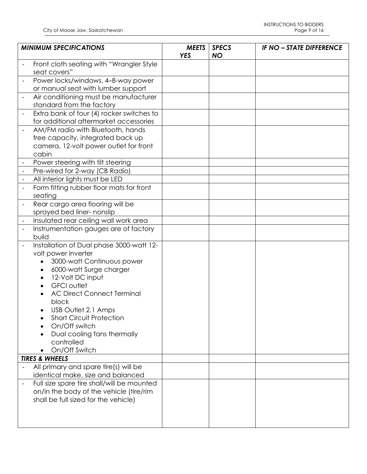| <b>MINIMUM SPECIFICATIONS</b> |                                                                    | <b>MEETS</b><br><b>YES</b> | <b>SPECS</b><br><b>NO</b> | <b>IF NO - STATE DIFFERENCE</b> |
|-------------------------------|--------------------------------------------------------------------|----------------------------|---------------------------|---------------------------------|
|                               | Front cloth seating with "Wrangler Style<br>seat covers"           |                            |                           |                                 |
|                               | Power locks/windows, 4-8-way power                                 |                            |                           |                                 |
|                               | or manual seat with lumber support                                 |                            |                           |                                 |
|                               | Air conditioning must be manufacturer<br>standard from the factory |                            |                           |                                 |
|                               | Extra bank of four (4) rocker switches to                          |                            |                           |                                 |
|                               | for additional aftermarket accessories                             |                            |                           |                                 |
|                               | AM/FM radio with Bluetooth, hands                                  |                            |                           |                                 |
|                               | free capacity, integrated back up                                  |                            |                           |                                 |
|                               | camera, 12-volt power outlet for front                             |                            |                           |                                 |
|                               | cabin                                                              |                            |                           |                                 |
|                               | Power steering with tilt steering                                  |                            |                           |                                 |
|                               | Pre-wired for 2-way (CB Radio)                                     |                            |                           |                                 |
|                               | All interior lights must be LED                                    |                            |                           |                                 |
|                               | Form fitting rubber floor mats for front<br>seating                |                            |                           |                                 |
|                               | Rear cargo area flooring will be                                   |                            |                           |                                 |
|                               | sprayed bed liner- nonslip                                         |                            |                           |                                 |
| $\blacksquare$                | Insulated rear ceiling wall work area                              |                            |                           |                                 |
|                               | Instrumentation gauges are of factory                              |                            |                           |                                 |
|                               | build                                                              |                            |                           |                                 |
|                               | Installation of Dual phase 3000-watt 12-                           |                            |                           |                                 |
|                               | volt power inverter                                                |                            |                           |                                 |
|                               | 3000-watt Continuous power                                         |                            |                           |                                 |
|                               | 6000-watt Surge charger<br>$\bullet$                               |                            |                           |                                 |
|                               | 12-Volt DC input<br>$\bullet$                                      |                            |                           |                                 |
|                               | <b>GFCI</b> outlet<br>$\bullet$                                    |                            |                           |                                 |
|                               | <b>AC Direct Connect Terminal</b>                                  |                            |                           |                                 |
|                               | block                                                              |                            |                           |                                 |
|                               | USB Outlet 2.1 Amps                                                |                            |                           |                                 |
|                               | <b>Short Circuit Protection</b>                                    |                            |                           |                                 |
|                               | On/Off switch                                                      |                            |                           |                                 |
|                               | Dual cooling fans thermally                                        |                            |                           |                                 |
|                               | controlled                                                         |                            |                           |                                 |
|                               | On/Off Switch                                                      |                            |                           |                                 |
|                               | <b>TIRES &amp; WHEELS</b>                                          |                            |                           |                                 |
|                               | All primary and spare tire(s) will be                              |                            |                           |                                 |
|                               | identical make, size and balanced                                  |                            |                           |                                 |
|                               | Full size spare tire shall/will be mounted                         |                            |                           |                                 |
|                               | on/in the body of the vehicle (tire/rim                            |                            |                           |                                 |
|                               | shall be full sized for the vehicle)                               |                            |                           |                                 |
|                               |                                                                    |                            |                           |                                 |
|                               |                                                                    |                            |                           |                                 |
|                               |                                                                    |                            |                           |                                 |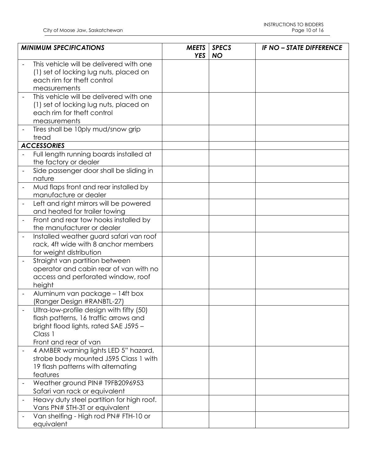| <b>MINIMUM SPECIFICATIONS</b> |                                                                                                                                                                | <b>MEETS</b><br><b>YES</b> | <b>SPECS</b><br><b>NO</b> | <b>IF NO - STATE DIFFERENCE</b> |
|-------------------------------|----------------------------------------------------------------------------------------------------------------------------------------------------------------|----------------------------|---------------------------|---------------------------------|
|                               | This vehicle will be delivered with one<br>(1) set of locking lug nuts, placed on<br>each rim for theft control                                                |                            |                           |                                 |
|                               | measurements                                                                                                                                                   |                            |                           |                                 |
|                               | This vehicle will be delivered with one<br>(1) set of locking lug nuts, placed on<br>each rim for theft control<br>measurements                                |                            |                           |                                 |
|                               | Tires shall be 10ply mud/snow grip<br>tread                                                                                                                    |                            |                           |                                 |
|                               | <b>ACCESSORIES</b>                                                                                                                                             |                            |                           |                                 |
|                               | Full length running boards installed at<br>the factory or dealer                                                                                               |                            |                           |                                 |
|                               | Side passenger door shall be sliding in<br>nature                                                                                                              |                            |                           |                                 |
|                               | Mud flaps front and rear installed by<br>manufacture or dealer                                                                                                 |                            |                           |                                 |
|                               | Left and right mirrors will be powered<br>and heated for trailer towing                                                                                        |                            |                           |                                 |
|                               | Front and rear tow hooks installed by<br>the manufacturer or dealer                                                                                            |                            |                           |                                 |
|                               | Installed weather guard safari van roof<br>rack, 4ft wide with 8 anchor members<br>for weight distribution                                                     |                            |                           |                                 |
|                               | Straight van partition between<br>operator and cabin rear of van with no<br>access and perforated window, roof<br>height                                       |                            |                           |                                 |
|                               | Aluminum van package - 14ft box<br>(Ranger Design #RANBTL-27)                                                                                                  |                            |                           |                                 |
|                               | Ultra-low-profile design with fifty (50)<br>flash patterns, 16 traffic arrows and<br>bright flood lights, rated SAE J595 -<br>Class 1<br>Front and rear of van |                            |                           |                                 |
|                               | 4 AMBER warning lights LED 5" hazard,<br>strobe body mounted J595 Class 1 with<br>19 flash patterns with alternating<br>features                               |                            |                           |                                 |
|                               | Weather ground PIN# T9FB2096953<br>Safari van rack or equivalent                                                                                               |                            |                           |                                 |
|                               | Heavy duty steel partition for high roof.<br>Vans PN# STH-3T or equivalent                                                                                     |                            |                           |                                 |
|                               | Van shelfing - High rod PN# FTH-10 or<br>equivalent                                                                                                            |                            |                           |                                 |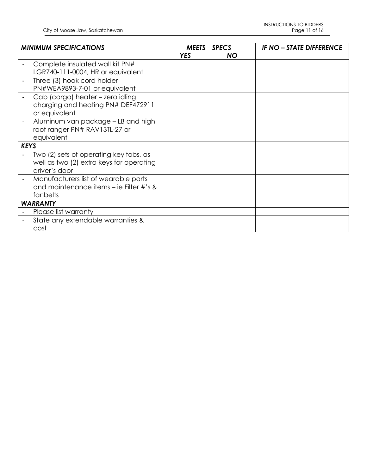| <b>MINIMUM SPECIFICATIONS</b>                                                                       | <b>MEETS</b><br><b>YES</b> | <b>SPECS</b><br><b>NO</b> | <b>IF NO - STATE DIFFERENCE</b> |
|-----------------------------------------------------------------------------------------------------|----------------------------|---------------------------|---------------------------------|
| Complete insulated wall kit PN#<br>LGR740-111-0004, HR or equivalent                                |                            |                           |                                 |
| Three (3) hook cord holder<br>PN#WEA9893-7-01 or equivalent                                         |                            |                           |                                 |
| Cab (cargo) heater - zero idling<br>charging and heating PN# DEF472911<br>or equivalent             |                            |                           |                                 |
| Aluminum van package – LB and high<br>roof ranger PN# RAV13TL-27 or<br>equivalent                   |                            |                           |                                 |
| <b>KEYS</b>                                                                                         |                            |                           |                                 |
| Two (2) sets of operating key fobs, as<br>well as two (2) extra keys for operating<br>driver's door |                            |                           |                                 |
| Manufacturers list of wearable parts<br>and maintenance items – ie Filter #'s &<br>fanbelts         |                            |                           |                                 |
| <b>WARRANTY</b>                                                                                     |                            |                           |                                 |
| Please list warranty                                                                                |                            |                           |                                 |
| State any extendable warranties &<br>cost                                                           |                            |                           |                                 |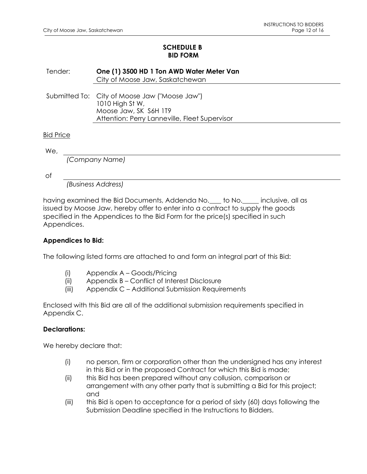### **SCHEDULE B BID FORM**

Tender: **One (1) 3500 HD 1 Ton AWD Water Meter Van** City of Moose Jaw, Saskatchewan

Submitted To: City of Moose Jaw ("Moose Jaw") 1010 High St W, Moose Jaw, SK S6H 1T9 Attention: Perry Lanneville, Fleet Supervisor

### Bid Price

We,

*(Company Name)*

of

*(Business Address)*

having examined the Bid Documents, Addenda No. to No. inclusive, all as issued by Moose Jaw, hereby offer to enter into a contract to supply the goods specified in the Appendices to the Bid Form for the price(s) specified in such Appendices.

### **Appendices to Bid:**

The following listed forms are attached to and form an integral part of this Bid:

- (i) Appendix A Goods/Pricing
- (ii) Appendix B Conflict of Interest Disclosure
- (iii) Appendix C Additional Submission Requirements

Enclosed with this Bid are all of the additional submission requirements specified in Appendix C.

### **Declarations:**

We hereby declare that:

- (i) no person, firm or corporation other than the undersigned has any interest in this Bid or in the proposed Contract for which this Bid is made;
- (ii) this Bid has been prepared without any collusion, comparison or arrangement with any other party that is submitting a Bid for this project; and
- (iii) this Bid is open to acceptance for a period of sixty (60) days following the Submission Deadline specified in the Instructions to Bidders.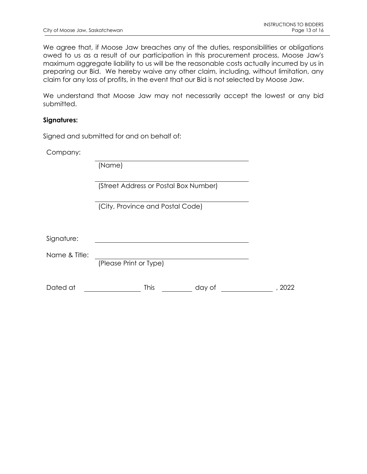We agree that, if Moose Jaw breaches any of the duties, responsibilities or obligations owed to us as a result of our participation in this procurement process, Moose Jaw's maximum aggregate liability to us will be the reasonable costs actually incurred by us in preparing our Bid. We hereby waive any other claim, including, without limitation, any claim for any loss of profits, in the event that our Bid is not selected by Moose Jaw.

We understand that Moose Jaw may not necessarily accept the lowest or any bid submitted.

### **Signatures:**

Signed and submitted for and on behalf of:

Company:

(Name)

(Street Address or Postal Box Number)

(City, Province and Postal Code)

| Signature: |  |
|------------|--|
|            |  |

Name & Title:

(Please Print or Type)

| Dated at | This | dav ot | 2022 |
|----------|------|--------|------|
|          |      |        |      |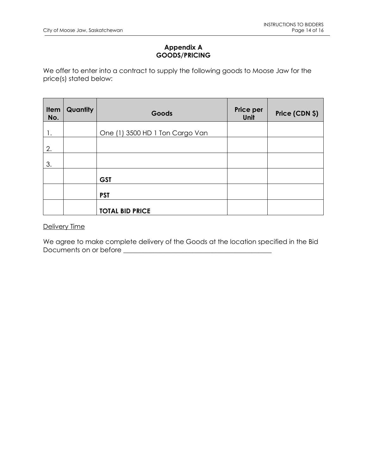## **Appendix A GOODS/PRICING**

We offer to enter into a contract to supply the following goods to Moose Jaw for the price(s) stated below:

| Item<br>No. | <b>Quantity</b> | Goods                           | Price per<br>Unit | Price (CDN \$) |
|-------------|-----------------|---------------------------------|-------------------|----------------|
| 1.          |                 | One (1) 3500 HD 1 Ton Cargo Van |                   |                |
| 2.          |                 |                                 |                   |                |
| 3.          |                 |                                 |                   |                |
|             |                 | <b>GST</b>                      |                   |                |
|             |                 | <b>PST</b>                      |                   |                |
|             |                 | <b>TOTAL BID PRICE</b>          |                   |                |

## Delivery Time

We agree to make complete delivery of the Goods at the location specified in the Bid Documents on or before **\_\_\_\_\_\_\_\_\_\_\_\_\_\_\_\_\_\_\_\_\_\_\_\_\_\_\_\_\_\_\_\_\_\_\_\_\_\_\_\_\_\_\_\_\_**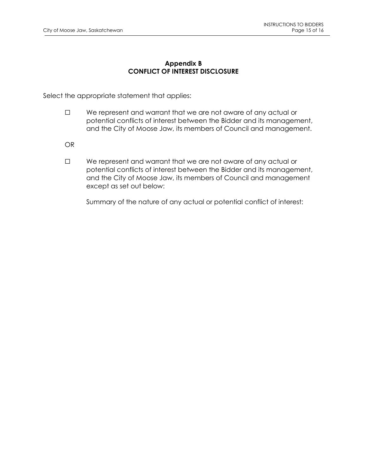### **Appendix B CONFLICT OF INTEREST DISCLOSURE**

Select the appropriate statement that applies:

- ☐ We represent and warrant that we are not aware of any actual or potential conflicts of interest between the Bidder and its management, and the City of Moose Jaw, its members of Council and management.
- OR
- ☐ We represent and warrant that we are not aware of any actual or potential conflicts of interest between the Bidder and its management, and the City of Moose Jaw, its members of Council and management except as set out below:

Summary of the nature of any actual or potential conflict of interest: